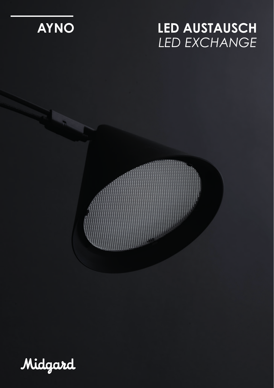

# **LED AUSTAUSCH** *LED EXCHANGE*



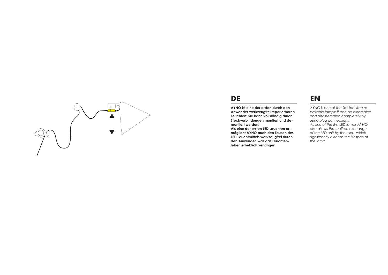

### **DE**

**AYNO ist eine der ersten durch den Anwender werkzeugfrei reparierbaren Leuchten: Sie kann vollständig durch Steckverbindungen montiert und demontiert werden.**

**Als eine der ersten LED Leuchten er möglicht AYNO auch den Tausch des LED Leuchtmittels werkzeugfrei durch den Anwender, was das Leuchtenleben erheblich verlängert.**

# **EN**

*AYNO is one of the first tool-free re pairable lamps: it can be assembled and disassembled completely by using plug connections. As one of the first LED lamps AYNO also allows the toolfree exchange of the LED unit by the user, which significantly extends the lifespan of the lamp.*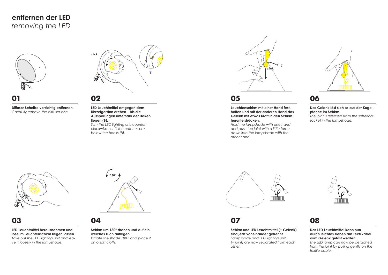

# **01**

**Diffusor Scheibe vorsichtig entfernen.** *Carefully remove the diffuser disc.*



### **02**

**LED Leuchtmittel entgegen dem Uhrzeigersinn drehen – bis die Aussparungen unterhalb der Haken liegen (B).**

*Turn the LED lighting unit counter clockwise - until the notches are below the hooks (B).*



### **05**

**Leuchtenschirm mit einer Hand festhalten und mit der anderen Hand das Gelenk mit etwas Kraft in den Schirm herunterdrücken.**

*Hold the lampshade with one hand and push the joint with a little force down into the lampshade with the other hand.*



### **06**

**Das Gelenk löst sich so aus der Kugelpfanne im Schirm.** *The joint is released from the spherical* 

*socket in the lampshade.*

# **03**

**LED Leuchtmittel herausnehmen und lose im Leuchtenschirm liegen lassen.** *Take out the LED lighting unit and leave it loosely in the lampshade.*



### **04**

**Schirm um 180° drehen und auf ein weiches Tuch auflegen.** *Rotate the shade 180 ° and place it on a soft cloth.*



### **07**

**Schirm und LED Leuchtmittel (+ Gelenk) sind jetzt voneinander getrennt.** *Lampshade and LED lighting unit (+ joint) are now separated from each other.*



# **08**

#### **Das LED Leuchtmittel kann nun durch leichtes ziehen am Textilkabel vom Gelenk gelöst werden.**

*The LED lamp can now be detached from the joint by pulling gently on the textile cable.*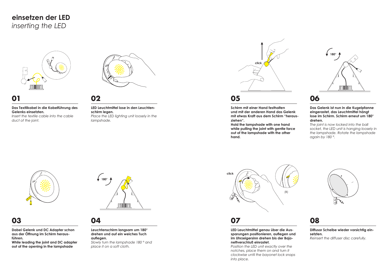

# **01**

**Das Textilkabel in die Kabelführung des Gelenks einsetzten.** *Insert the textile cable into the cable* 

*duct of the joint.*



# **02**

**LED Leuchtmittel lose in den Leuchtenschirm legen.** *Place the LED lighting unit loosely in the lampshade.*



### **05**

**Schirm mit einer Hand festhalten und mit der anderen Hand das Gelenk mit etwas Kraft aus dem Schirm "herausziehen".**

**Hold the lampshade with one hand while pulling the joint with gentle force out of the lampshade with the other hand.**



### **06**

**Das Gelenk ist nun in die Kugelpfanne eingerastet, das Leuchtmittel hängt lose im Schirm. Schirm erneut um 180° drehen.**

*The joint is now locked into the ball socket, the LED unit is hanging loosely in the lampshade. Rotate the lampshade again by 180 °.*



### **03**

**Dabei Gelenk und DC Adapter schon aus der Öffnung im Schirm herausführen.**

**While leading the joint and DC adapter out of the opening in the lampshade**



### **04**

#### **Leuchtenschirm langsam um 180° drehen und auf ein weiches Tuch auflegen.**

*Slowly turn the lampshade 180 ° and place it on a soft cloth.*



# **07**

**LED Leuchtmittel genau über die Aussparungen positionieren, auflegen und im Uhrzeigersinn drehen bis der Bajonettverschluß einrastet.**

*Position the LED unit exactly over the notches, place them on and turn it clockwise until the bayonet lock snaps into place.*



# **08**

**Diffusor Scheibe wieder vorsichtig einsetzten.** *Reinsert the diffuser disc carefully.*